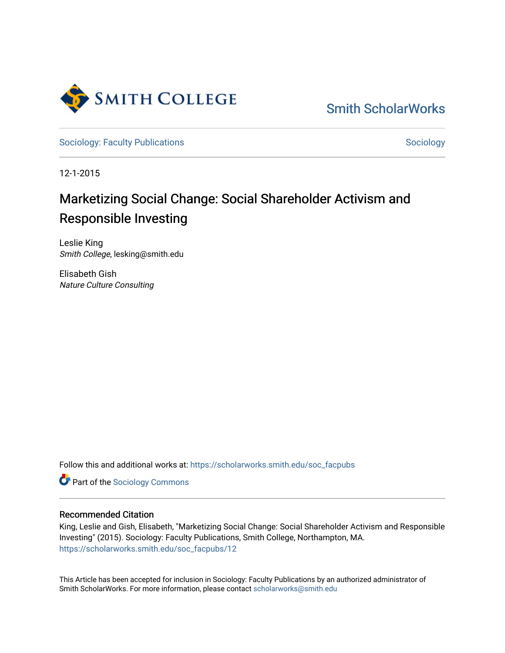

[Smith ScholarWorks](https://scholarworks.smith.edu/) 

[Sociology: Faculty Publications](https://scholarworks.smith.edu/soc_facpubs) Sociology: Sociology

12-1-2015

# Marketizing Social Change: Social Shareholder Activism and Responsible Investing

Leslie King Smith College, lesking@smith.edu

Elisabeth Gish Nature Culture Consulting

Follow this and additional works at: [https://scholarworks.smith.edu/soc\\_facpubs](https://scholarworks.smith.edu/soc_facpubs?utm_source=scholarworks.smith.edu%2Fsoc_facpubs%2F12&utm_medium=PDF&utm_campaign=PDFCoverPages) 

**Part of the [Sociology Commons](http://network.bepress.com/hgg/discipline/416?utm_source=scholarworks.smith.edu%2Fsoc_facpubs%2F12&utm_medium=PDF&utm_campaign=PDFCoverPages)** 

## Recommended Citation

King, Leslie and Gish, Elisabeth, "Marketizing Social Change: Social Shareholder Activism and Responsible Investing" (2015). Sociology: Faculty Publications, Smith College, Northampton, MA. [https://scholarworks.smith.edu/soc\\_facpubs/12](https://scholarworks.smith.edu/soc_facpubs/12?utm_source=scholarworks.smith.edu%2Fsoc_facpubs%2F12&utm_medium=PDF&utm_campaign=PDFCoverPages) 

This Article has been accepted for inclusion in Sociology: Faculty Publications by an authorized administrator of Smith ScholarWorks. For more information, please contact [scholarworks@smith.edu](mailto:scholarworks@smith.edu)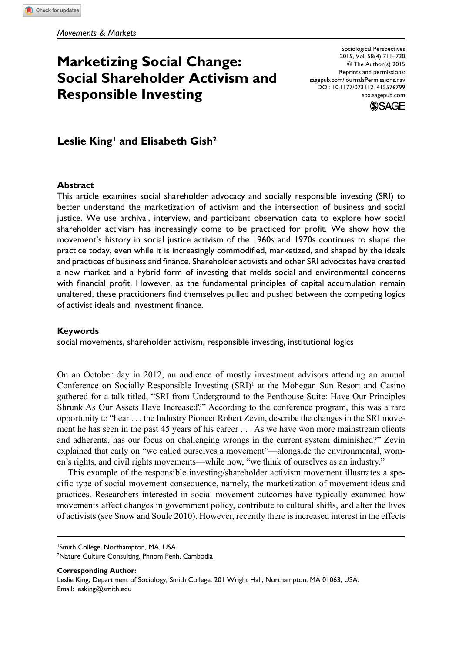**576[799](http://crossmark.crossref.org/dialog/?doi=10.1177%2F0731121415576799&domain=pdf&date_stamp=2015-03-25)**SPXXXX10.1177/0731121415576799Sociological Perspectives**King and Gish**

## **Marketizing Social Change: Social Shareholder Activism and Responsible Investing**

Sociological Perspectives 2015, Vol. 58(4) 711–730 © The Author(s) 2015 Reprints and permissions: sagepub.com/journalsPermissions.nav DOI: 10.1177/0731121415576799 spx.sagepub.com



Leslie King<sup>1</sup> and Elisabeth Gish<sup>2</sup>

#### **Abstract**

This article examines social shareholder advocacy and socially responsible investing (SRI) to better understand the marketization of activism and the intersection of business and social justice. We use archival, interview, and participant observation data to explore how social shareholder activism has increasingly come to be practiced for profit. We show how the movement's history in social justice activism of the 1960s and 1970s continues to shape the practice today, even while it is increasingly commodified, marketized, and shaped by the ideals and practices of business and finance. Shareholder activists and other SRI advocates have created a new market and a hybrid form of investing that melds social and environmental concerns with financial profit. However, as the fundamental principles of capital accumulation remain unaltered, these practitioners find themselves pulled and pushed between the competing logics of activist ideals and investment finance.

#### **Keywords**

social movements, shareholder activism, responsible investing, institutional logics

On an October day in 2012, an audience of mostly investment advisors attending an annual Conference on Socially Responsible Investing  $(SRI)^1$  at the Mohegan Sun Resort and Casino gathered for a talk titled, "SRI from Underground to the Penthouse Suite: Have Our Principles Shrunk As Our Assets Have Increased?" According to the conference program, this was a rare opportunity to "hear . . . the Industry Pioneer Robert Zevin, describe the changes in the SRI movement he has seen in the past 45 years of his career . . . As we have won more mainstream clients and adherents, has our focus on challenging wrongs in the current system diminished?" Zevin explained that early on "we called ourselves a movement"—alongside the environmental, women's rights, and civil rights movements—while now, "we think of ourselves as an industry."

This example of the responsible investing/shareholder activism movement illustrates a specific type of social movement consequence, namely, the marketization of movement ideas and practices. Researchers interested in social movement outcomes have typically examined how movements affect changes in government policy, contribute to cultural shifts, and alter the lives of activists (see Snow and Soule 2010). However, recently there is increased interest in the effects

**Corresponding Author:** Leslie King, Department of Sociology, Smith College, 201 Wright Hall, Northampton, MA 01063, USA. Email: [lesking@smith.edu](mailto:lesking@smith.edu)

<sup>1</sup>Smith College, Northampton, MA, USA

<sup>2</sup>Nature Culture Consulting, Phnom Penh, Cambodia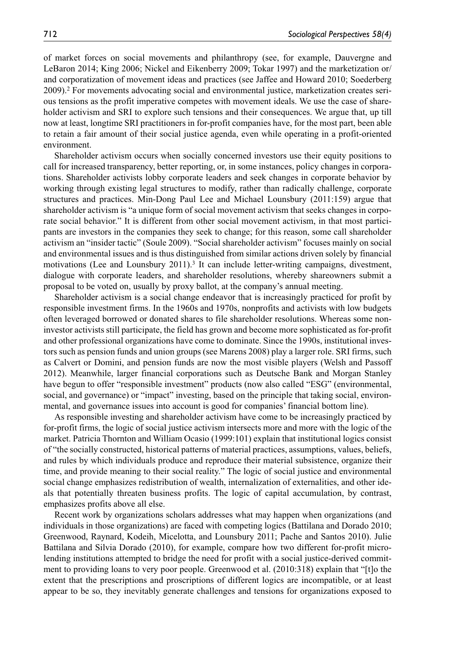of market forces on social movements and philanthropy (see, for example, Dauvergne and LeBaron 2014; King 2006; Nickel and Eikenberry 2009; Tokar 1997) and the marketization or/ and corporatization of movement ideas and practices (see Jaffee and Howard 2010; Soederberg 2009).2 For movements advocating social and environmental justice, marketization creates serious tensions as the profit imperative competes with movement ideals. We use the case of shareholder activism and SRI to explore such tensions and their consequences. We argue that, up till now at least, longtime SRI practitioners in for-profit companies have, for the most part, been able to retain a fair amount of their social justice agenda, even while operating in a profit-oriented environment.

Shareholder activism occurs when socially concerned investors use their equity positions to call for increased transparency, better reporting, or, in some instances, policy changes in corporations. Shareholder activists lobby corporate leaders and seek changes in corporate behavior by working through existing legal structures to modify, rather than radically challenge, corporate structures and practices. Min-Dong Paul Lee and Michael Lounsbury (2011:159) argue that shareholder activism is "a unique form of social movement activism that seeks changes in corporate social behavior." It is different from other social movement activism, in that most participants are investors in the companies they seek to change; for this reason, some call shareholder activism an "insider tactic" (Soule 2009). "Social shareholder activism" focuses mainly on social and environmental issues and is thus distinguished from similar actions driven solely by financial motivations (Lee and Lounsbury 2011).<sup>3</sup> It can include letter-writing campaigns, divestment, dialogue with corporate leaders, and shareholder resolutions, whereby shareowners submit a proposal to be voted on, usually by proxy ballot, at the company's annual meeting.

Shareholder activism is a social change endeavor that is increasingly practiced for profit by responsible investment firms. In the 1960s and 1970s, nonprofits and activists with low budgets often leveraged borrowed or donated shares to file shareholder resolutions. Whereas some noninvestor activists still participate, the field has grown and become more sophisticated as for-profit and other professional organizations have come to dominate. Since the 1990s, institutional investors such as pension funds and union groups (see Marens 2008) play a larger role. SRI firms, such as Calvert or Domini, and pension funds are now the most visible players (Welsh and Passoff 2012). Meanwhile, larger financial corporations such as Deutsche Bank and Morgan Stanley have begun to offer "responsible investment" products (now also called "ESG" (environmental, social, and governance) or "impact" investing, based on the principle that taking social, environmental, and governance issues into account is good for companies' financial bottom line).

As responsible investing and shareholder activism have come to be increasingly practiced by for-profit firms, the logic of social justice activism intersects more and more with the logic of the market. Patricia Thornton and William Ocasio (1999:101) explain that institutional logics consist of "the socially constructed, historical patterns of material practices, assumptions, values, beliefs, and rules by which individuals produce and reproduce their material subsistence, organize their time, and provide meaning to their social reality." The logic of social justice and environmental social change emphasizes redistribution of wealth, internalization of externalities, and other ideals that potentially threaten business profits. The logic of capital accumulation, by contrast, emphasizes profits above all else.

Recent work by organizations scholars addresses what may happen when organizations (and individuals in those organizations) are faced with competing logics (Battilana and Dorado 2010; Greenwood, Raynard, Kodeih, Micelotta, and Lounsbury 2011; Pache and Santos 2010). Julie Battilana and Silvia Dorado (2010), for example, compare how two different for-profit microlending institutions attempted to bridge the need for profit with a social justice-derived commitment to providing loans to very poor people. Greenwood et al. (2010:318) explain that "[t]o the extent that the prescriptions and proscriptions of different logics are incompatible, or at least appear to be so, they inevitably generate challenges and tensions for organizations exposed to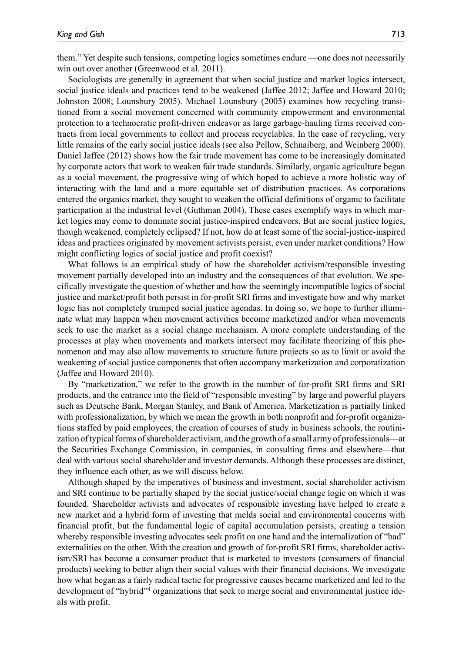them." Yet despite such tensions, competing logics sometimes endure —one does not necessarily win out over another (Greenwood et al. 2011).

Sociologists are generally in agreement that when social justice and market logics intersect, social justice ideals and practices tend to be weakened (Jaffee 2012; Jaffee and Howard 2010; Johnston 2008; Lounsbury 2005). Michael Lounsbury (2005) examines how recycling transitioned from a social movement concerned with community empowerment and environmental protection to a technocratic profit-driven endeavor as large garbage-hauling firms received contracts from local governments to collect and process recyclables. In the case of recycling, very little remains of the early social justice ideals (see also Pellow, Schnaiberg, and Weinberg 2000). Daniel Jaffee (2012) shows how the fair trade movement has come to be increasingly dominated by corporate actors that work to weaken fair trade standards. Similarly, organic agriculture began as a social movement, the progressive wing of which hoped to achieve a more holistic way of interacting with the land and a more equitable set of distribution practices. As corporations entered the organics market, they sought to weaken the official definitions of organic to facilitate participation at the industrial level (Guthman 2004). These cases exemplify ways in which market logics may come to dominate social justice-inspired endeavors. But are social justice logics, though weakened, completely eclipsed? If not, how do at least some of the social-justice-inspired ideas and practices originated by movement activists persist, even under market conditions? How might conflicting logics of social justice and profit coexist?

What follows is an empirical study of how the shareholder activism/responsible investing movement partially developed into an industry and the consequences of that evolution. We specifically investigate the question of whether and how the seemingly incompatible logics of social justice and market/profit both persist in for-profit SRI firms and investigate how and why market logic has not completely trumped social justice agendas. In doing so, we hope to further illuminate what may happen when movement activities become marketized and/or when movements seek to use the market as a social change mechanism. A more complete understanding of the processes at play when movements and markets intersect may facilitate theorizing of this phenomenon and may also allow movements to structure future projects so as to limit or avoid the weakening of social justice components that often accompany marketization and corporatization (Jaffee and Howard 2010).

By "marketization," we refer to the growth in the number of for-profit SRI firms and SRI products, and the entrance into the field of "responsible investing" by large and powerful players such as Deutsche Bank, Morgan Stanley, and Bank of America. Marketization is partially linked with professionalization, by which we mean the growth in both nonprofit and for-profit organizations staffed by paid employees, the creation of courses of study in business schools, the routinization of typical forms of shareholder activism, and the growth of a small army of professionals—at the Securities Exchange Commission, in companies, in consulting firms and elsewhere—that deal with various social shareholder and investor demands. Although these processes are distinct, they influence each other, as we will discuss below.

Although shaped by the imperatives of business and investment, social shareholder activism and SRI continue to be partially shaped by the social justice/social change logic on which it was founded. Shareholder activists and advocates of responsible investing have helped to create a new market and a hybrid form of investing that melds social and environmental concerns with financial profit, but the fundamental logic of capital accumulation persists, creating a tension whereby responsible investing advocates seek profit on one hand and the internalization of "bad" externalities on the other. With the creation and growth of for-profit SRI firms, shareholder activism/SRI has become a consumer product that is marketed to investors (consumers of financial products) seeking to better align their social values with their financial decisions. We investigate how what began as a fairly radical tactic for progressive causes became marketized and led to the development of "hybrid"4 organizations that seek to merge social and environmental justice ideals with profit.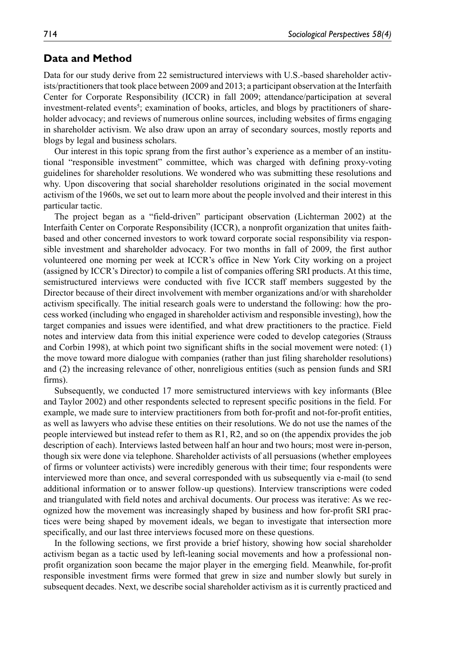#### **Data and Method**

Data for our study derive from 22 semistructured interviews with U.S.-based shareholder activists/practitioners that took place between 2009 and 2013; a participant observation at the Interfaith Center for Corporate Responsibility (ICCR) in fall 2009; attendance/participation at several investment-related events<sup>5</sup>; examination of books, articles, and blogs by practitioners of shareholder advocacy; and reviews of numerous online sources, including websites of firms engaging in shareholder activism. We also draw upon an array of secondary sources, mostly reports and blogs by legal and business scholars.

Our interest in this topic sprang from the first author's experience as a member of an institutional "responsible investment" committee, which was charged with defining proxy-voting guidelines for shareholder resolutions. We wondered who was submitting these resolutions and why. Upon discovering that social shareholder resolutions originated in the social movement activism of the 1960s, we set out to learn more about the people involved and their interest in this particular tactic.

The project began as a "field-driven" participant observation (Lichterman 2002) at the Interfaith Center on Corporate Responsibility (ICCR), a nonprofit organization that unites faithbased and other concerned investors to work toward corporate social responsibility via responsible investment and shareholder advocacy. For two months in fall of 2009, the first author volunteered one morning per week at ICCR's office in New York City working on a project (assigned by ICCR's Director) to compile a list of companies offering SRI products. At this time, semistructured interviews were conducted with five ICCR staff members suggested by the Director because of their direct involvement with member organizations and/or with shareholder activism specifically. The initial research goals were to understand the following: how the process worked (including who engaged in shareholder activism and responsible investing), how the target companies and issues were identified, and what drew practitioners to the practice. Field notes and interview data from this initial experience were coded to develop categories (Strauss and Corbin 1998), at which point two significant shifts in the social movement were noted: (1) the move toward more dialogue with companies (rather than just filing shareholder resolutions) and (2) the increasing relevance of other, nonreligious entities (such as pension funds and SRI firms).

Subsequently, we conducted 17 more semistructured interviews with key informants (Blee and Taylor 2002) and other respondents selected to represent specific positions in the field. For example, we made sure to interview practitioners from both for-profit and not-for-profit entities, as well as lawyers who advise these entities on their resolutions. We do not use the names of the people interviewed but instead refer to them as R1, R2, and so on (the appendix provides the job description of each). Interviews lasted between half an hour and two hours; most were in-person, though six were done via telephone. Shareholder activists of all persuasions (whether employees of firms or volunteer activists) were incredibly generous with their time; four respondents were interviewed more than once, and several corresponded with us subsequently via e-mail (to send additional information or to answer follow-up questions). Interview transcriptions were coded and triangulated with field notes and archival documents. Our process was iterative: As we recognized how the movement was increasingly shaped by business and how for-profit SRI practices were being shaped by movement ideals, we began to investigate that intersection more specifically, and our last three interviews focused more on these questions.

In the following sections, we first provide a brief history, showing how social shareholder activism began as a tactic used by left-leaning social movements and how a professional nonprofit organization soon became the major player in the emerging field. Meanwhile, for-profit responsible investment firms were formed that grew in size and number slowly but surely in subsequent decades. Next, we describe social shareholder activism as it is currently practiced and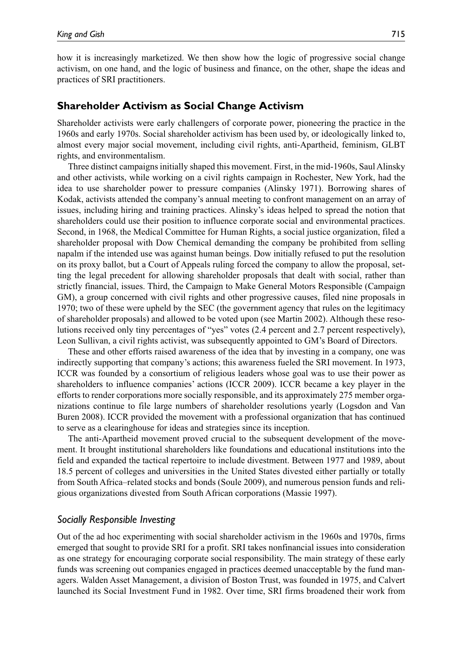### **Shareholder Activism as Social Change Activism**

Shareholder activists were early challengers of corporate power, pioneering the practice in the 1960s and early 1970s. Social shareholder activism has been used by, or ideologically linked to, almost every major social movement, including civil rights, anti-Apartheid, feminism, GLBT rights, and environmentalism.

Three distinct campaigns initially shaped this movement. First, in the mid-1960s, Saul Alinsky and other activists, while working on a civil rights campaign in Rochester, New York, had the idea to use shareholder power to pressure companies (Alinsky 1971). Borrowing shares of Kodak, activists attended the company's annual meeting to confront management on an array of issues, including hiring and training practices. Alinsky's ideas helped to spread the notion that shareholders could use their position to influence corporate social and environmental practices. Second, in 1968, the Medical Committee for Human Rights, a social justice organization, filed a shareholder proposal with Dow Chemical demanding the company be prohibited from selling napalm if the intended use was against human beings. Dow initially refused to put the resolution on its proxy ballot, but a Court of Appeals ruling forced the company to allow the proposal, setting the legal precedent for allowing shareholder proposals that dealt with social, rather than strictly financial, issues. Third, the Campaign to Make General Motors Responsible (Campaign GM), a group concerned with civil rights and other progressive causes, filed nine proposals in 1970; two of these were upheld by the SEC (the government agency that rules on the legitimacy of shareholder proposals) and allowed to be voted upon (see Martin 2002). Although these resolutions received only tiny percentages of "yes" votes (2.4 percent and 2.7 percent respectively), Leon Sullivan, a civil rights activist, was subsequently appointed to GM's Board of Directors.

These and other efforts raised awareness of the idea that by investing in a company, one was indirectly supporting that company's actions; this awareness fueled the SRI movement. In 1973, ICCR was founded by a consortium of religious leaders whose goal was to use their power as shareholders to influence companies' actions (ICCR 2009). ICCR became a key player in the efforts to render corporations more socially responsible, and its approximately 275 member organizations continue to file large numbers of shareholder resolutions yearly (Logsdon and Van Buren 2008). ICCR provided the movement with a professional organization that has continued to serve as a clearinghouse for ideas and strategies since its inception.

The anti-Apartheid movement proved crucial to the subsequent development of the movement. It brought institutional shareholders like foundations and educational institutions into the field and expanded the tactical repertoire to include divestment. Between 1977 and 1989, about 18.5 percent of colleges and universities in the United States divested either partially or totally from South Africa–related stocks and bonds (Soule 2009), and numerous pension funds and religious organizations divested from South African corporations (Massie 1997).

#### *Socially Responsible Investing*

Out of the ad hoc experimenting with social shareholder activism in the 1960s and 1970s, firms emerged that sought to provide SRI for a profit. SRI takes nonfinancial issues into consideration as one strategy for encouraging corporate social responsibility. The main strategy of these early funds was screening out companies engaged in practices deemed unacceptable by the fund managers. Walden Asset Management, a division of Boston Trust, was founded in 1975, and Calvert launched its Social Investment Fund in 1982. Over time, SRI firms broadened their work from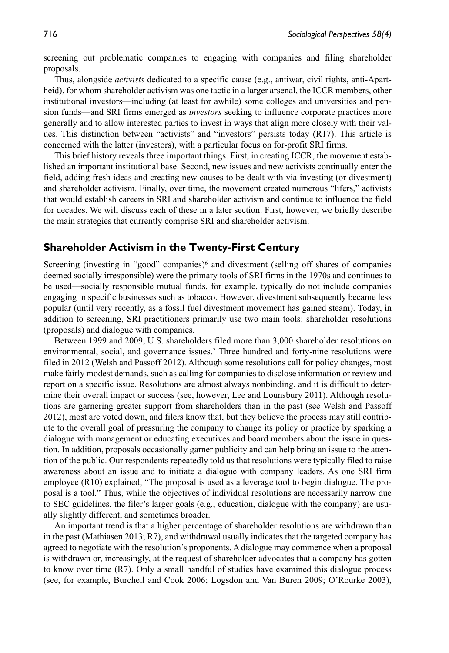screening out problematic companies to engaging with companies and filing shareholder proposals.

Thus, alongside *activists* dedicated to a specific cause (e.g., antiwar, civil rights, anti-Apartheid), for whom shareholder activism was one tactic in a larger arsenal, the ICCR members, other institutional investors—including (at least for awhile) some colleges and universities and pension funds—and SRI firms emerged as *investors* seeking to influence corporate practices more generally and to allow interested parties to invest in ways that align more closely with their values. This distinction between "activists" and "investors" persists today (R17). This article is concerned with the latter (investors), with a particular focus on for-profit SRI firms.

This brief history reveals three important things. First, in creating ICCR, the movement established an important institutional base. Second, new issues and new activists continually enter the field, adding fresh ideas and creating new causes to be dealt with via investing (or divestment) and shareholder activism. Finally, over time, the movement created numerous "lifers," activists that would establish careers in SRI and shareholder activism and continue to influence the field for decades. We will discuss each of these in a later section. First, however, we briefly describe the main strategies that currently comprise SRI and shareholder activism.

#### **Shareholder Activism in the Twenty-First Century**

Screening (investing in "good" companies) $6$  and divestment (selling off shares of companies deemed socially irresponsible) were the primary tools of SRI firms in the 1970s and continues to be used—socially responsible mutual funds, for example, typically do not include companies engaging in specific businesses such as tobacco. However, divestment subsequently became less popular (until very recently, as a fossil fuel divestment movement has gained steam). Today, in addition to screening, SRI practitioners primarily use two main tools: shareholder resolutions (proposals) and dialogue with companies.

Between 1999 and 2009, U.S. shareholders filed more than 3,000 shareholder resolutions on environmental, social, and governance issues.7 Three hundred and forty-nine resolutions were filed in 2012 (Welsh and Passoff 2012). Although some resolutions call for policy changes, most make fairly modest demands, such as calling for companies to disclose information or review and report on a specific issue. Resolutions are almost always nonbinding, and it is difficult to determine their overall impact or success (see, however, Lee and Lounsbury 2011). Although resolutions are garnering greater support from shareholders than in the past (see Welsh and Passoff 2012), most are voted down, and filers know that, but they believe the process may still contribute to the overall goal of pressuring the company to change its policy or practice by sparking a dialogue with management or educating executives and board members about the issue in question. In addition, proposals occasionally garner publicity and can help bring an issue to the attention of the public. Our respondents repeatedly told us that resolutions were typically filed to raise awareness about an issue and to initiate a dialogue with company leaders. As one SRI firm employee (R10) explained, "The proposal is used as a leverage tool to begin dialogue. The proposal is a tool." Thus, while the objectives of individual resolutions are necessarily narrow due to SEC guidelines, the filer's larger goals (e.g., education, dialogue with the company) are usually slightly different, and sometimes broader.

An important trend is that a higher percentage of shareholder resolutions are withdrawn than in the past (Mathiasen 2013; R7), and withdrawal usually indicates that the targeted company has agreed to negotiate with the resolution's proponents. A dialogue may commence when a proposal is withdrawn or, increasingly, at the request of shareholder advocates that a company has gotten to know over time (R7). Only a small handful of studies have examined this dialogue process (see, for example, Burchell and Cook 2006; Logsdon and Van Buren 2009; O'Rourke 2003),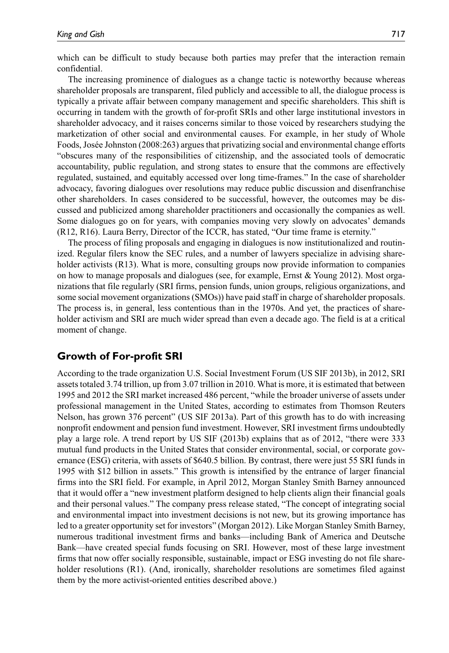which can be difficult to study because both parties may prefer that the interaction remain confidential.

The increasing prominence of dialogues as a change tactic is noteworthy because whereas shareholder proposals are transparent, filed publicly and accessible to all, the dialogue process is typically a private affair between company management and specific shareholders. This shift is occurring in tandem with the growth of for-profit SRIs and other large institutional investors in shareholder advocacy, and it raises concerns similar to those voiced by researchers studying the marketization of other social and environmental causes. For example, in her study of Whole Foods, Josée Johnston (2008:263) argues that privatizing social and environmental change efforts "obscures many of the responsibilities of citizenship, and the associated tools of democratic accountability, public regulation, and strong states to ensure that the commons are effectively regulated, sustained, and equitably accessed over long time-frames." In the case of shareholder advocacy, favoring dialogues over resolutions may reduce public discussion and disenfranchise other shareholders. In cases considered to be successful, however, the outcomes may be discussed and publicized among shareholder practitioners and occasionally the companies as well. Some dialogues go on for years, with companies moving very slowly on advocates' demands (R12, R16). Laura Berry, Director of the ICCR, has stated, "Our time frame is eternity."

The process of filing proposals and engaging in dialogues is now institutionalized and routinized. Regular filers know the SEC rules, and a number of lawyers specialize in advising shareholder activists (R13). What is more, consulting groups now provide information to companies on how to manage proposals and dialogues (see, for example, Ernst & Young 2012). Most organizations that file regularly (SRI firms, pension funds, union groups, religious organizations, and some social movement organizations (SMOs)) have paid staff in charge of shareholder proposals. The process is, in general, less contentious than in the 1970s. And yet, the practices of shareholder activism and SRI are much wider spread than even a decade ago. The field is at a critical moment of change.

#### **Growth of For-profit SRI**

According to the trade organization U.S. Social Investment Forum (US SIF 2013b), in 2012, SRI assets totaled 3.74 trillion, up from 3.07 trillion in 2010. What is more, it is estimated that between 1995 and 2012 the SRI market increased 486 percent, "while the broader universe of assets under professional management in the United States, according to estimates from Thomson Reuters Nelson, has grown 376 percent" (US SIF 2013a). Part of this growth has to do with increasing nonprofit endowment and pension fund investment. However, SRI investment firms undoubtedly play a large role. A trend report by US SIF (2013b) explains that as of 2012, "there were 333 mutual fund products in the United States that consider environmental, social, or corporate governance (ESG) criteria, with assets of \$640.5 billion. By contrast, there were just 55 SRI funds in 1995 with \$12 billion in assets." This growth is intensified by the entrance of larger financial firms into the SRI field. For example, in April 2012, Morgan Stanley Smith Barney announced that it would offer a "new investment platform designed to help clients align their financial goals and their personal values." The company press release stated, "The concept of integrating social and environmental impact into investment decisions is not new, but its growing importance has led to a greater opportunity set for investors" (Morgan 2012). Like Morgan Stanley Smith Barney, numerous traditional investment firms and banks—including Bank of America and Deutsche Bank—have created special funds focusing on SRI. However, most of these large investment firms that now offer socially responsible, sustainable, impact or ESG investing do not file shareholder resolutions (R1). (And, ironically, shareholder resolutions are sometimes filed against them by the more activist-oriented entities described above.)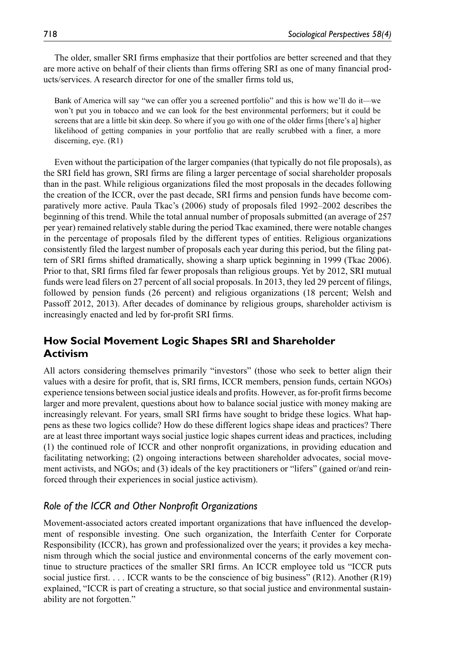The older, smaller SRI firms emphasize that their portfolios are better screened and that they are more active on behalf of their clients than firms offering SRI as one of many financial products/services. A research director for one of the smaller firms told us,

Bank of America will say "we can offer you a screened portfolio" and this is how we'll do it—we won't put you in tobacco and we can look for the best environmental performers; but it could be screens that are a little bit skin deep. So where if you go with one of the older firms [there's a] higher likelihood of getting companies in your portfolio that are really scrubbed with a finer, a more discerning, eye. (R1)

Even without the participation of the larger companies (that typically do not file proposals), as the SRI field has grown, SRI firms are filing a larger percentage of social shareholder proposals than in the past. While religious organizations filed the most proposals in the decades following the creation of the ICCR, over the past decade, SRI firms and pension funds have become comparatively more active. Paula Tkac's (2006) study of proposals filed 1992–2002 describes the beginning of this trend. While the total annual number of proposals submitted (an average of 257 per year) remained relatively stable during the period Tkac examined, there were notable changes in the percentage of proposals filed by the different types of entities. Religious organizations consistently filed the largest number of proposals each year during this period, but the filing pattern of SRI firms shifted dramatically, showing a sharp uptick beginning in 1999 (Tkac 2006). Prior to that, SRI firms filed far fewer proposals than religious groups. Yet by 2012, SRI mutual funds were lead filers on 27 percent of all social proposals. In 2013, they led 29 percent of filings, followed by pension funds (26 percent) and religious organizations (18 percent; Welsh and Passoff 2012, 2013). After decades of dominance by religious groups, shareholder activism is increasingly enacted and led by for-profit SRI firms.

## **How Social Movement Logic Shapes SRI and Shareholder Activism**

All actors considering themselves primarily "investors" (those who seek to better align their values with a desire for profit, that is, SRI firms, ICCR members, pension funds, certain NGOs) experience tensions between social justice ideals and profits. However, as for-profit firms become larger and more prevalent, questions about how to balance social justice with money making are increasingly relevant. For years, small SRI firms have sought to bridge these logics. What happens as these two logics collide? How do these different logics shape ideas and practices? There are at least three important ways social justice logic shapes current ideas and practices, including (1) the continued role of ICCR and other nonprofit organizations, in providing education and facilitating networking; (2) ongoing interactions between shareholder advocates, social movement activists, and NGOs; and (3) ideals of the key practitioners or "lifers" (gained or/and reinforced through their experiences in social justice activism).

## *Role of the ICCR and Other Nonprofit Organizations*

Movement-associated actors created important organizations that have influenced the development of responsible investing. One such organization, the Interfaith Center for Corporate Responsibility (ICCR), has grown and professionalized over the years; it provides a key mechanism through which the social justice and environmental concerns of the early movement continue to structure practices of the smaller SRI firms. An ICCR employee told us "ICCR puts social justice first. . . . ICCR wants to be the conscience of big business" (R12). Another (R19) explained, "ICCR is part of creating a structure, so that social justice and environmental sustainability are not forgotten."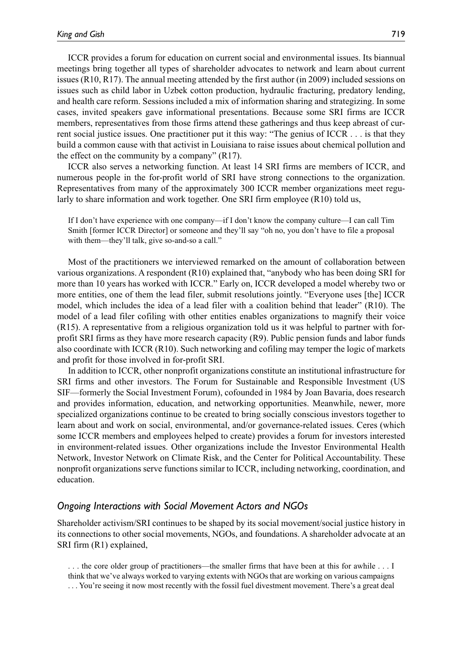ICCR provides a forum for education on current social and environmental issues. Its biannual meetings bring together all types of shareholder advocates to network and learn about current issues (R10, R17). The annual meeting attended by the first author (in 2009) included sessions on issues such as child labor in Uzbek cotton production, hydraulic fracturing, predatory lending, and health care reform. Sessions included a mix of information sharing and strategizing. In some cases, invited speakers gave informational presentations. Because some SRI firms are ICCR members, representatives from those firms attend these gatherings and thus keep abreast of current social justice issues. One practitioner put it this way: "The genius of ICCR . . . is that they build a common cause with that activist in Louisiana to raise issues about chemical pollution and the effect on the community by a company"  $(R17)$ .

ICCR also serves a networking function. At least 14 SRI firms are members of ICCR, and numerous people in the for-profit world of SRI have strong connections to the organization. Representatives from many of the approximately 300 ICCR member organizations meet regularly to share information and work together. One SRI firm employee (R10) told us,

If I don't have experience with one company—if I don't know the company culture—I can call Tim Smith [former ICCR Director] or someone and they'll say "oh no, you don't have to file a proposal with them—they'll talk, give so-and-so a call."

Most of the practitioners we interviewed remarked on the amount of collaboration between various organizations. A respondent (R10) explained that, "anybody who has been doing SRI for more than 10 years has worked with ICCR." Early on, ICCR developed a model whereby two or more entities, one of them the lead filer, submit resolutions jointly. "Everyone uses [the] ICCR model, which includes the idea of a lead filer with a coalition behind that leader" (R10). The model of a lead filer cofiling with other entities enables organizations to magnify their voice (R15). A representative from a religious organization told us it was helpful to partner with forprofit SRI firms as they have more research capacity (R9). Public pension funds and labor funds also coordinate with ICCR (R10). Such networking and cofiling may temper the logic of markets and profit for those involved in for-profit SRI.

In addition to ICCR, other nonprofit organizations constitute an institutional infrastructure for SRI firms and other investors. The Forum for Sustainable and Responsible Investment (US SIF—formerly the Social Investment Forum), cofounded in 1984 by Joan Bavaria, does research and provides information, education, and networking opportunities. Meanwhile, newer, more specialized organizations continue to be created to bring socially conscious investors together to learn about and work on social, environmental, and/or governance-related issues. Ceres (which some ICCR members and employees helped to create) provides a forum for investors interested in environment-related issues. Other organizations include the Investor Environmental Health Network, Investor Network on Climate Risk, and the Center for Political Accountability. These nonprofit organizations serve functions similar to ICCR, including networking, coordination, and education.

#### *Ongoing Interactions with Social Movement Actors and NGOs*

Shareholder activism/SRI continues to be shaped by its social movement/social justice history in its connections to other social movements, NGOs, and foundations. A shareholder advocate at an SRI firm (R1) explained,

. . . the core older group of practitioners—the smaller firms that have been at this for awhile . . . I think that we've always worked to varying extents with NGOs that are working on various campaigns . . . You're seeing it now most recently with the fossil fuel divestment movement. There's a great deal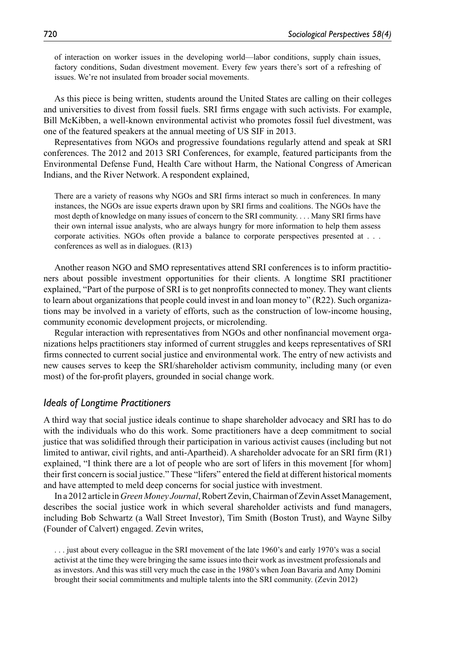of interaction on worker issues in the developing world—labor conditions, supply chain issues, factory conditions, Sudan divestment movement. Every few years there's sort of a refreshing of issues. We're not insulated from broader social movements.

As this piece is being written, students around the United States are calling on their colleges and universities to divest from fossil fuels. SRI firms engage with such activists. For example, Bill McKibben, a well-known environmental activist who promotes fossil fuel divestment, was one of the featured speakers at the annual meeting of US SIF in 2013.

Representatives from NGOs and progressive foundations regularly attend and speak at SRI conferences. The 2012 and 2013 SRI Conferences, for example, featured participants from the Environmental Defense Fund, Health Care without Harm, the National Congress of American Indians, and the River Network. A respondent explained,

There are a variety of reasons why NGOs and SRI firms interact so much in conferences. In many instances, the NGOs are issue experts drawn upon by SRI firms and coalitions. The NGOs have the most depth of knowledge on many issues of concern to the SRI community. . . . Many SRI firms have their own internal issue analysts, who are always hungry for more information to help them assess corporate activities. NGOs often provide a balance to corporate perspectives presented at . . . conferences as well as in dialogues. (R13)

Another reason NGO and SMO representatives attend SRI conferences is to inform practitioners about possible investment opportunities for their clients. A longtime SRI practitioner explained, "Part of the purpose of SRI is to get nonprofits connected to money. They want clients to learn about organizations that people could invest in and loan money to" (R22). Such organizations may be involved in a variety of efforts, such as the construction of low-income housing, community economic development projects, or microlending.

Regular interaction with representatives from NGOs and other nonfinancial movement organizations helps practitioners stay informed of current struggles and keeps representatives of SRI firms connected to current social justice and environmental work. The entry of new activists and new causes serves to keep the SRI/shareholder activism community, including many (or even most) of the for-profit players, grounded in social change work.

#### *Ideals of Longtime Practitioners*

A third way that social justice ideals continue to shape shareholder advocacy and SRI has to do with the individuals who do this work. Some practitioners have a deep commitment to social justice that was solidified through their participation in various activist causes (including but not limited to antiwar, civil rights, and anti-Apartheid). A shareholder advocate for an SRI firm (R1) explained, "I think there are a lot of people who are sort of lifers in this movement [for whom] their first concern is social justice." These "lifers" entered the field at different historical moments and have attempted to meld deep concerns for social justice with investment.

In a 2012 article in *Green Money Journal*, Robert Zevin, Chairman of Zevin Asset Management, describes the social justice work in which several shareholder activists and fund managers, including Bob Schwartz (a Wall Street Investor), Tim Smith (Boston Trust), and Wayne Silby (Founder of Calvert) engaged. Zevin writes,

. . . just about every colleague in the SRI movement of the late 1960's and early 1970's was a social activist at the time they were bringing the same issues into their work as investment professionals and as investors. And this was still very much the case in the 1980's when Joan Bavaria and Amy Domini brought their social commitments and multiple talents into the SRI community. (Zevin 2012)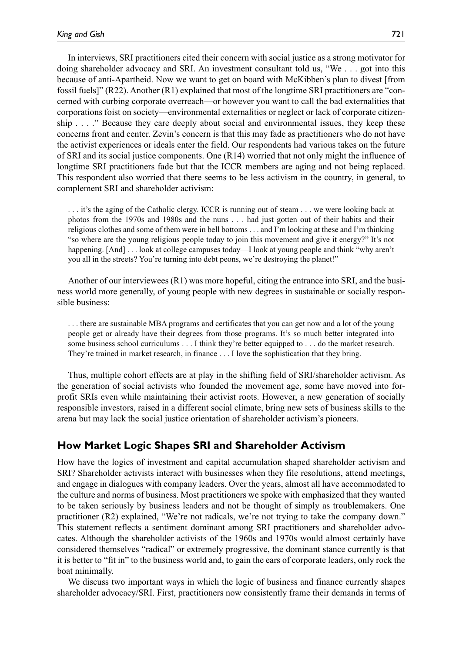In interviews, SRI practitioners cited their concern with social justice as a strong motivator for doing shareholder advocacy and SRI. An investment consultant told us, "We . . . got into this because of anti-Apartheid. Now we want to get on board with McKibben's plan to divest [from fossil fuels]" (R22). Another (R1) explained that most of the longtime SRI practitioners are "concerned with curbing corporate overreach—or however you want to call the bad externalities that corporations foist on society—environmental externalities or neglect or lack of corporate citizenship . . . ." Because they care deeply about social and environmental issues, they keep these concerns front and center. Zevin's concern is that this may fade as practitioners who do not have the activist experiences or ideals enter the field. Our respondents had various takes on the future of SRI and its social justice components. One (R14) worried that not only might the influence of longtime SRI practitioners fade but that the ICCR members are aging and not being replaced. This respondent also worried that there seems to be less activism in the country, in general, to complement SRI and shareholder activism:

. . . it's the aging of the Catholic clergy. ICCR is running out of steam . . . we were looking back at photos from the 1970s and 1980s and the nuns . . . had just gotten out of their habits and their religious clothes and some of them were in bell bottoms . . . and I'm looking at these and I'm thinking "so where are the young religious people today to join this movement and give it energy?" It's not happening. [And] . . . look at college campuses today—I look at young people and think "why aren't you all in the streets? You're turning into debt peons, we're destroying the planet!"

Another of our interviewees (R1) was more hopeful, citing the entrance into SRI, and the business world more generally, of young people with new degrees in sustainable or socially responsible business:

. . . there are sustainable MBA programs and certificates that you can get now and a lot of the young people get or already have their degrees from those programs. It's so much better integrated into some business school curriculums . . . I think they're better equipped to . . . do the market research. They're trained in market research, in finance . . . I love the sophistication that they bring.

Thus, multiple cohort effects are at play in the shifting field of SRI/shareholder activism. As the generation of social activists who founded the movement age, some have moved into forprofit SRIs even while maintaining their activist roots. However, a new generation of socially responsible investors, raised in a different social climate, bring new sets of business skills to the arena but may lack the social justice orientation of shareholder activism's pioneers.

#### **How Market Logic Shapes SRI and Shareholder Activism**

How have the logics of investment and capital accumulation shaped shareholder activism and SRI? Shareholder activists interact with businesses when they file resolutions, attend meetings, and engage in dialogues with company leaders. Over the years, almost all have accommodated to the culture and norms of business. Most practitioners we spoke with emphasized that they wanted to be taken seriously by business leaders and not be thought of simply as troublemakers. One practitioner (R2) explained, "We're not radicals, we're not trying to take the company down." This statement reflects a sentiment dominant among SRI practitioners and shareholder advocates. Although the shareholder activists of the 1960s and 1970s would almost certainly have considered themselves "radical" or extremely progressive, the dominant stance currently is that it is better to "fit in" to the business world and, to gain the ears of corporate leaders, only rock the boat minimally.

We discuss two important ways in which the logic of business and finance currently shapes shareholder advocacy/SRI. First, practitioners now consistently frame their demands in terms of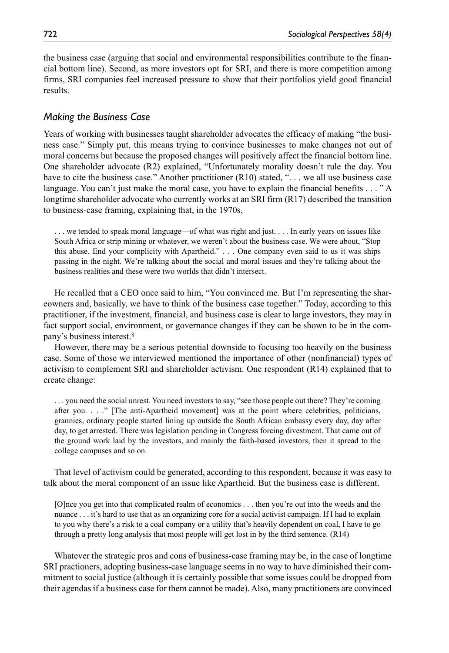the business case (arguing that social and environmental responsibilities contribute to the financial bottom line). Second, as more investors opt for SRI, and there is more competition among firms, SRI companies feel increased pressure to show that their portfolios yield good financial results.

#### *Making the Business Case*

Years of working with businesses taught shareholder advocates the efficacy of making "the business case." Simply put, this means trying to convince businesses to make changes not out of moral concerns but because the proposed changes will positively affect the financial bottom line. One shareholder advocate (R2) explained, "Unfortunately morality doesn't rule the day. You have to cite the business case." Another practitioner (R10) stated, ". . . we all use business case language. You can't just make the moral case, you have to explain the financial benefits . . . "A longtime shareholder advocate who currently works at an SRI firm (R17) described the transition to business-case framing, explaining that, in the 1970s,

. . . we tended to speak moral language—of what was right and just. . . . In early years on issues like South Africa or strip mining or whatever, we weren't about the business case. We were about, "Stop this abuse. End your complicity with Apartheid." . . . One company even said to us it was ships passing in the night. We're talking about the social and moral issues and they're talking about the business realities and these were two worlds that didn't intersect.

He recalled that a CEO once said to him, "You convinced me. But I'm representing the shareowners and, basically, we have to think of the business case together." Today, according to this practitioner, if the investment, financial, and business case is clear to large investors, they may in fact support social, environment, or governance changes if they can be shown to be in the company's business interest.8

However, there may be a serious potential downside to focusing too heavily on the business case. Some of those we interviewed mentioned the importance of other (nonfinancial) types of activism to complement SRI and shareholder activism. One respondent (R14) explained that to create change:

. . . you need the social unrest. You need investors to say, "see those people out there? They're coming after you. . . ." [The anti-Apartheid movement] was at the point where celebrities, politicians, grannies, ordinary people started lining up outside the South African embassy every day, day after day, to get arrested. There was legislation pending in Congress forcing divestment. That came out of the ground work laid by the investors, and mainly the faith-based investors, then it spread to the college campuses and so on.

That level of activism could be generated, according to this respondent, because it was easy to talk about the moral component of an issue like Apartheid. But the business case is different.

[O]nce you get into that complicated realm of economics . . . then you're out into the weeds and the nuance . . . it's hard to use that as an organizing core for a social activist campaign. If I had to explain to you why there's a risk to a coal company or a utility that's heavily dependent on coal, I have to go through a pretty long analysis that most people will get lost in by the third sentence. (R14)

Whatever the strategic pros and cons of business-case framing may be, in the case of longtime SRI practioners, adopting business-case language seems in no way to have diminished their commitment to social justice (although it is certainly possible that some issues could be dropped from their agendas if a business case for them cannot be made). Also, many practitioners are convinced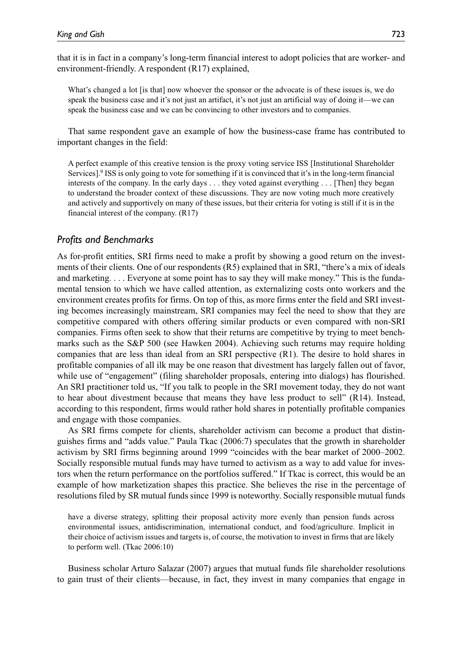that it is in fact in a company's long-term financial interest to adopt policies that are worker- and environment-friendly. A respondent (R17) explained,

What's changed a lot [is that] now whoever the sponsor or the advocate is of these issues is, we do speak the business case and it's not just an artifact, it's not just an artificial way of doing it—we can speak the business case and we can be convincing to other investors and to companies.

That same respondent gave an example of how the business-case frame has contributed to important changes in the field:

A perfect example of this creative tension is the proxy voting service ISS [Institutional Shareholder Services].9 ISS is only going to vote for something if it is convinced that it's in the long-term financial interests of the company. In the early days . . . they voted against everything . . . [Then] they began to understand the broader context of these discussions. They are now voting much more creatively and actively and supportively on many of these issues, but their criteria for voting is still if it is in the financial interest of the company. (R17)

#### *Profits and Benchmarks*

As for-profit entities, SRI firms need to make a profit by showing a good return on the investments of their clients. One of our respondents (R5) explained that in SRI, "there's a mix of ideals and marketing. . . . Everyone at some point has to say they will make money." This is the fundamental tension to which we have called attention, as externalizing costs onto workers and the environment creates profits for firms. On top of this, as more firms enter the field and SRI investing becomes increasingly mainstream, SRI companies may feel the need to show that they are competitive compared with others offering similar products or even compared with non-SRI companies. Firms often seek to show that their returns are competitive by trying to meet benchmarks such as the S&P 500 (see Hawken 2004). Achieving such returns may require holding companies that are less than ideal from an SRI perspective (R1). The desire to hold shares in profitable companies of all ilk may be one reason that divestment has largely fallen out of favor, while use of "engagement" (filing shareholder proposals, entering into dialogs) has flourished. An SRI practitioner told us, "If you talk to people in the SRI movement today, they do not want to hear about divestment because that means they have less product to sell" (R14). Instead, according to this respondent, firms would rather hold shares in potentially profitable companies and engage with those companies.

As SRI firms compete for clients, shareholder activism can become a product that distinguishes firms and "adds value." Paula Tkac (2006:7) speculates that the growth in shareholder activism by SRI firms beginning around 1999 "coincides with the bear market of 2000–2002. Socially responsible mutual funds may have turned to activism as a way to add value for investors when the return performance on the portfolios suffered." If Tkac is correct, this would be an example of how marketization shapes this practice. She believes the rise in the percentage of resolutions filed by SR mutual funds since 1999 is noteworthy. Socially responsible mutual funds

have a diverse strategy, splitting their proposal activity more evenly than pension funds across environmental issues, antidiscrimination, international conduct, and food/agriculture. Implicit in their choice of activism issues and targets is, of course, the motivation to invest in firms that are likely to perform well. (Tkac 2006:10)

Business scholar Arturo Salazar (2007) argues that mutual funds file shareholder resolutions to gain trust of their clients—because, in fact, they invest in many companies that engage in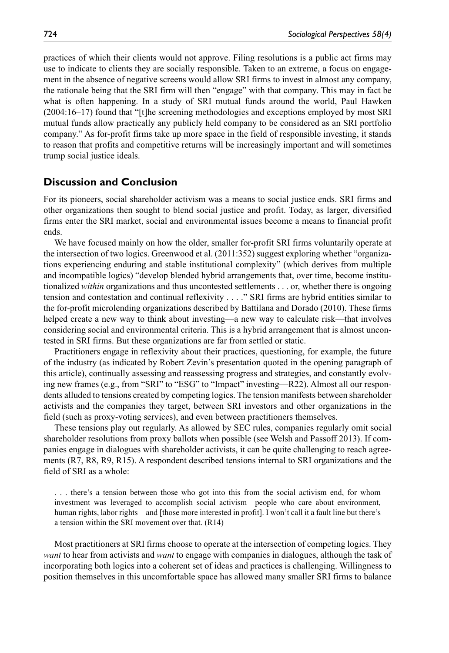practices of which their clients would not approve. Filing resolutions is a public act firms may use to indicate to clients they are socially responsible. Taken to an extreme, a focus on engagement in the absence of negative screens would allow SRI firms to invest in almost any company, the rationale being that the SRI firm will then "engage" with that company. This may in fact be what is often happening. In a study of SRI mutual funds around the world, Paul Hawken (2004:16–17) found that "[t]he screening methodologies and exceptions employed by most SRI mutual funds allow practically any publicly held company to be considered as an SRI portfolio company." As for-profit firms take up more space in the field of responsible investing, it stands to reason that profits and competitive returns will be increasingly important and will sometimes trump social justice ideals.

#### **Discussion and Conclusion**

For its pioneers, social shareholder activism was a means to social justice ends. SRI firms and other organizations then sought to blend social justice and profit. Today, as larger, diversified firms enter the SRI market, social and environmental issues become a means to financial profit ends.

We have focused mainly on how the older, smaller for-profit SRI firms voluntarily operate at the intersection of two logics. Greenwood et al. (2011:352) suggest exploring whether "organizations experiencing enduring and stable institutional complexity" (which derives from multiple and incompatible logics) "develop blended hybrid arrangements that, over time, become institutionalized *within* organizations and thus uncontested settlements . . . or, whether there is ongoing tension and contestation and continual reflexivity . . . ." SRI firms are hybrid entities similar to the for-profit microlending organizations described by Battilana and Dorado (2010). These firms helped create a new way to think about investing—a new way to calculate risk—that involves considering social and environmental criteria. This is a hybrid arrangement that is almost uncontested in SRI firms. But these organizations are far from settled or static.

Practitioners engage in reflexivity about their practices, questioning, for example, the future of the industry (as indicated by Robert Zevin's presentation quoted in the opening paragraph of this article), continually assessing and reassessing progress and strategies, and constantly evolving new frames (e.g., from "SRI" to "ESG" to "Impact" investing—R22). Almost all our respondents alluded to tensions created by competing logics. The tension manifests between shareholder activists and the companies they target, between SRI investors and other organizations in the field (such as proxy-voting services), and even between practitioners themselves.

These tensions play out regularly. As allowed by SEC rules, companies regularly omit social shareholder resolutions from proxy ballots when possible (see Welsh and Passoff 2013). If companies engage in dialogues with shareholder activists, it can be quite challenging to reach agreements (R7, R8, R9, R15). A respondent described tensions internal to SRI organizations and the field of SRI as a whole:

. . . there's a tension between those who got into this from the social activism end, for whom investment was leveraged to accomplish social activism—people who care about environment, human rights, labor rights—and [those more interested in profit]. I won't call it a fault line but there's a tension within the SRI movement over that. (R14)

Most practitioners at SRI firms choose to operate at the intersection of competing logics. They *want* to hear from activists and *want* to engage with companies in dialogues, although the task of incorporating both logics into a coherent set of ideas and practices is challenging. Willingness to position themselves in this uncomfortable space has allowed many smaller SRI firms to balance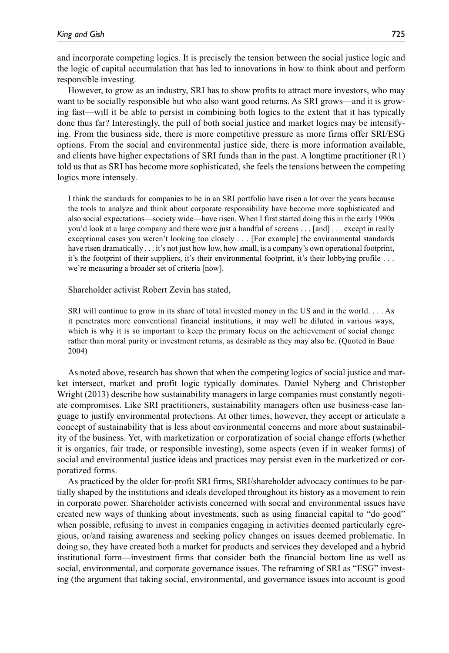and incorporate competing logics. It is precisely the tension between the social justice logic and the logic of capital accumulation that has led to innovations in how to think about and perform responsible investing.

However, to grow as an industry, SRI has to show profits to attract more investors, who may want to be socially responsible but who also want good returns. As SRI grows—and it is growing fast—will it be able to persist in combining both logics to the extent that it has typically done thus far? Interestingly, the pull of both social justice and market logics may be intensifying. From the business side, there is more competitive pressure as more firms offer SRI/ESG options. From the social and environmental justice side, there is more information available, and clients have higher expectations of SRI funds than in the past. A longtime practitioner (R1) told us that as SRI has become more sophisticated, she feels the tensions between the competing logics more intensely.

I think the standards for companies to be in an SRI portfolio have risen a lot over the years because the tools to analyze and think about corporate responsibility have become more sophisticated and also social expectations—society wide—have risen. When I first started doing this in the early 1990s you'd look at a large company and there were just a handful of screens . . . [and] . . . except in really exceptional cases you weren't looking too closely . . . [For example] the environmental standards have risen dramatically . . . it's not just how low, how small, is a company's own operational footprint, it's the footprint of their suppliers, it's their environmental footprint, it's their lobbying profile . . . we're measuring a broader set of criteria [now].

Shareholder activist Robert Zevin has stated,

SRI will continue to grow in its share of total invested money in the US and in the world. . . . As it penetrates more conventional financial institutions, it may well be diluted in various ways, which is why it is so important to keep the primary focus on the achievement of social change rather than moral purity or investment returns, as desirable as they may also be. (Quoted in Baue 2004)

As noted above, research has shown that when the competing logics of social justice and market intersect, market and profit logic typically dominates. Daniel Nyberg and Christopher Wright (2013) describe how sustainability managers in large companies must constantly negotiate compromises. Like SRI practitioners, sustainability managers often use business-case language to justify environmental protections. At other times, however, they accept or articulate a concept of sustainability that is less about environmental concerns and more about sustainability of the business. Yet, with marketization or corporatization of social change efforts (whether it is organics, fair trade, or responsible investing), some aspects (even if in weaker forms) of social and environmental justice ideas and practices may persist even in the marketized or corporatized forms.

As practiced by the older for-profit SRI firms, SRI/shareholder advocacy continues to be partially shaped by the institutions and ideals developed throughout its history as a movement to rein in corporate power. Shareholder activists concerned with social and environmental issues have created new ways of thinking about investments, such as using financial capital to "do good" when possible, refusing to invest in companies engaging in activities deemed particularly egregious, or/and raising awareness and seeking policy changes on issues deemed problematic. In doing so, they have created both a market for products and services they developed and a hybrid institutional form—investment firms that consider both the financial bottom line as well as social, environmental, and corporate governance issues. The reframing of SRI as "ESG" investing (the argument that taking social, environmental, and governance issues into account is good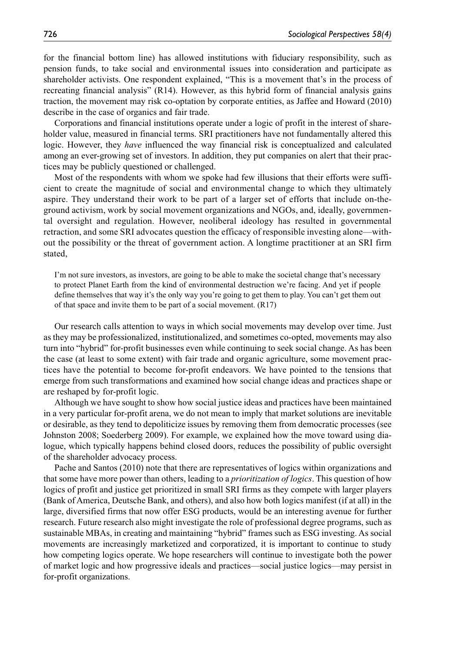for the financial bottom line) has allowed institutions with fiduciary responsibility, such as pension funds, to take social and environmental issues into consideration and participate as shareholder activists. One respondent explained, "This is a movement that's in the process of recreating financial analysis" (R14). However, as this hybrid form of financial analysis gains traction, the movement may risk co-optation by corporate entities, as Jaffee and Howard (2010) describe in the case of organics and fair trade.

Corporations and financial institutions operate under a logic of profit in the interest of shareholder value, measured in financial terms. SRI practitioners have not fundamentally altered this logic. However, they *have* influenced the way financial risk is conceptualized and calculated among an ever-growing set of investors. In addition, they put companies on alert that their practices may be publicly questioned or challenged.

Most of the respondents with whom we spoke had few illusions that their efforts were sufficient to create the magnitude of social and environmental change to which they ultimately aspire. They understand their work to be part of a larger set of efforts that include on-theground activism, work by social movement organizations and NGOs, and, ideally, governmental oversight and regulation. However, neoliberal ideology has resulted in governmental retraction, and some SRI advocates question the efficacy of responsible investing alone—without the possibility or the threat of government action. A longtime practitioner at an SRI firm stated,

I'm not sure investors, as investors, are going to be able to make the societal change that's necessary to protect Planet Earth from the kind of environmental destruction we're facing. And yet if people define themselves that way it's the only way you're going to get them to play. You can't get them out of that space and invite them to be part of a social movement. (R17)

Our research calls attention to ways in which social movements may develop over time. Just as they may be professionalized, institutionalized, and sometimes co-opted, movements may also turn into "hybrid" for-profit businesses even while continuing to seek social change. As has been the case (at least to some extent) with fair trade and organic agriculture, some movement practices have the potential to become for-profit endeavors. We have pointed to the tensions that emerge from such transformations and examined how social change ideas and practices shape or are reshaped by for-profit logic.

Although we have sought to show how social justice ideas and practices have been maintained in a very particular for-profit arena, we do not mean to imply that market solutions are inevitable or desirable, as they tend to depoliticize issues by removing them from democratic processes (see Johnston 2008; Soederberg 2009). For example, we explained how the move toward using dialogue, which typically happens behind closed doors, reduces the possibility of public oversight of the shareholder advocacy process.

Pache and Santos (2010) note that there are representatives of logics within organizations and that some have more power than others, leading to a *prioritization of logics*. This question of how logics of profit and justice get prioritized in small SRI firms as they compete with larger players (Bank of America, Deutsche Bank, and others), and also how both logics manifest (if at all) in the large, diversified firms that now offer ESG products, would be an interesting avenue for further research. Future research also might investigate the role of professional degree programs, such as sustainable MBAs, in creating and maintaining "hybrid" frames such as ESG investing. As social movements are increasingly marketized and corporatized, it is important to continue to study how competing logics operate. We hope researchers will continue to investigate both the power of market logic and how progressive ideals and practices—social justice logics—may persist in for-profit organizations.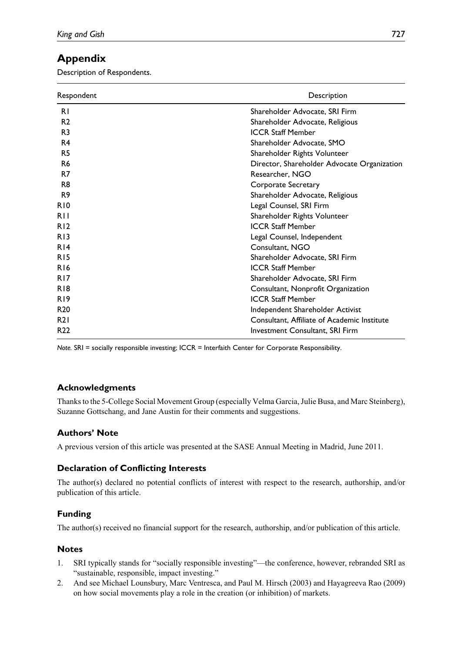## **Appendix**

Description of Respondents.

| Respondent      | Description                                 |
|-----------------|---------------------------------------------|
| R1              | Shareholder Advocate, SRI Firm              |
| R <sub>2</sub>  | Shareholder Advocate, Religious             |
| R <sub>3</sub>  | <b>ICCR Staff Member</b>                    |
| R <sub>4</sub>  | Shareholder Advocate, SMO                   |
| R <sub>5</sub>  | Shareholder Rights Volunteer                |
| R <sub>6</sub>  | Director, Shareholder Advocate Organization |
| R7              | Researcher, NGO                             |
| R <sub>8</sub>  | Corporate Secretary                         |
| R <sub>9</sub>  | Shareholder Advocate, Religious             |
| <b>R10</b>      | Legal Counsel, SRI Firm                     |
| R11             | Shareholder Rights Volunteer                |
| R <sub>12</sub> | <b>ICCR Staff Member</b>                    |
| R13             | Legal Counsel, Independent                  |
| R14             | Consultant, NGO                             |
| <b>R15</b>      | Shareholder Advocate, SRI Firm              |
| <b>R16</b>      | <b>ICCR Staff Member</b>                    |
| <b>R17</b>      | Shareholder Advocate, SRI Firm              |
| <b>R18</b>      | Consultant, Nonprofit Organization          |
| <b>R19</b>      | <b>ICCR Staff Member</b>                    |
| R <sub>20</sub> | Independent Shareholder Activist            |
| <b>R21</b>      | Consultant, Affiliate of Academic Institute |
| R <sub>22</sub> | Investment Consultant, SRI Firm             |

*Note.* SRI = socially responsible investing; ICCR = Interfaith Center for Corporate Responsibility.

#### **Acknowledgments**

Thanks to the 5-College Social Movement Group (especially Velma Garcia, Julie Busa, and Marc Steinberg), Suzanne Gottschang, and Jane Austin for their comments and suggestions.

#### **Authors' Note**

A previous version of this article was presented at the SASE Annual Meeting in Madrid, June 2011.

#### **Declaration of Conflicting Interests**

The author(s) declared no potential conflicts of interest with respect to the research, authorship, and/or publication of this article.

#### **Funding**

The author(s) received no financial support for the research, authorship, and/or publication of this article.

#### **Notes**

- 1. SRI typically stands for "socially responsible investing"—the conference, however, rebranded SRI as "sustainable, responsible, impact investing."
- 2. And see Michael Lounsbury, Marc Ventresca, and Paul M. Hirsch (2003) and Hayagreeva Rao (2009) on how social movements play a role in the creation (or inhibition) of markets.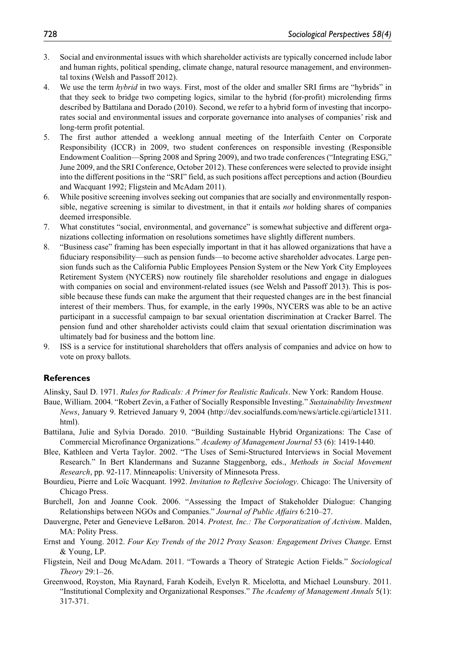- 3. Social and environmental issues with which shareholder activists are typically concerned include labor and human rights, political spending, climate change, natural resource management, and environmental toxins (Welsh and Passoff 2012).
- 4. We use the term *hybrid* in two ways. First, most of the older and smaller SRI firms are "hybrids" in that they seek to bridge two competing logics, similar to the hybrid (for-profit) microlending firms described by Battilana and Dorado (2010). Second, we refer to a hybrid form of investing that incorporates social and environmental issues and corporate governance into analyses of companies' risk and long-term profit potential.
- 5. The first author attended a weeklong annual meeting of the Interfaith Center on Corporate Responsibility (ICCR) in 2009, two student conferences on responsible investing (Responsible Endowment Coalition—Spring 2008 and Spring 2009), and two trade conferences ("Integrating ESG," June 2009, and the SRI Conference, October 2012). These conferences were selected to provide insight into the different positions in the "SRI" field, as such positions affect perceptions and action (Bourdieu and Wacquant 1992; Fligstein and McAdam 2011).
- 6. While positive screening involves seeking out companies that are socially and environmentally responsible, negative screening is similar to divestment, in that it entails *not* holding shares of companies deemed irresponsible.
- 7. What constitutes "social, environmental, and governance" is somewhat subjective and different organizations collecting information on resolutions sometimes have slightly different numbers.
- 8. "Business case" framing has been especially important in that it has allowed organizations that have a fiduciary responsibility—such as pension funds—to become active shareholder advocates. Large pension funds such as the California Public Employees Pension System or the New York City Employees Retirement System (NYCERS) now routinely file shareholder resolutions and engage in dialogues with companies on social and environment-related issues (see Welsh and Passoff 2013). This is possible because these funds can make the argument that their requested changes are in the best financial interest of their members. Thus, for example, in the early 1990s, NYCERS was able to be an active participant in a successful campaign to bar sexual orientation discrimination at Cracker Barrel. The pension fund and other shareholder activists could claim that sexual orientation discrimination was ultimately bad for business and the bottom line.
- 9. ISS is a service for institutional shareholders that offers analysis of companies and advice on how to vote on proxy ballots.

#### **References**

Alinsky, Saul D. 1971. *Rules for Radicals: A Primer for Realistic Radicals*. New York: Random House.

- Baue, William. 2004. "Robert Zevin, a Father of Socially Responsible Investing." *Sustainability Investment News*, January 9. Retrieved January 9, 2004 ([http://dev.socialfunds.com/news/article.cgi/article1311.](http://dev.socialfunds.com/news/article.cgi/article1311.html) [html\)](http://dev.socialfunds.com/news/article.cgi/article1311.html).
- Battilana, Julie and Sylvia Dorado. 2010. "Building Sustainable Hybrid Organizations: The Case of Commercial Microfinance Organizations." *Academy of Management Journal* 53 (6): 1419-1440.
- Blee, Kathleen and Verta Taylor. 2002. "The Uses of Semi-Structured Interviews in Social Movement Research." In Bert Klandermans and Suzanne Staggenborg, eds., *Methods in Social Movement Research*, pp. 92-117. Minneapolis: University of Minnesota Press.
- Bourdieu, Pierre and Loïc Wacquant. 1992. *Invitation to Reflexive Sociology*. Chicago: The University of Chicago Press.
- Burchell, Jon and Joanne Cook. 2006. "Assessing the Impact of Stakeholder Dialogue: Changing Relationships between NGOs and Companies." *Journal of Public Affairs* 6:210–27.
- Dauvergne, Peter and Genevieve LeBaron. 2014. *Protest, Inc.: The Corporatization of Activism*. Malden, MA: Polity Press.
- Ernst and Young. 2012. *Four Key Trends of the 2012 Proxy Season: Engagement Drives Change*. Ernst & Young, LP.
- Fligstein, Neil and Doug McAdam. 2011. "Towards a Theory of Strategic Action Fields." *Sociological Theory* 29:1–26.
- Greenwood, Royston, Mia Raynard, Farah Kodeih, Evelyn R. Micelotta, and Michael Lounsbury. 2011. "Institutional Complexity and Organizational Responses." *The Academy of Management Annals* 5(1): 317-371.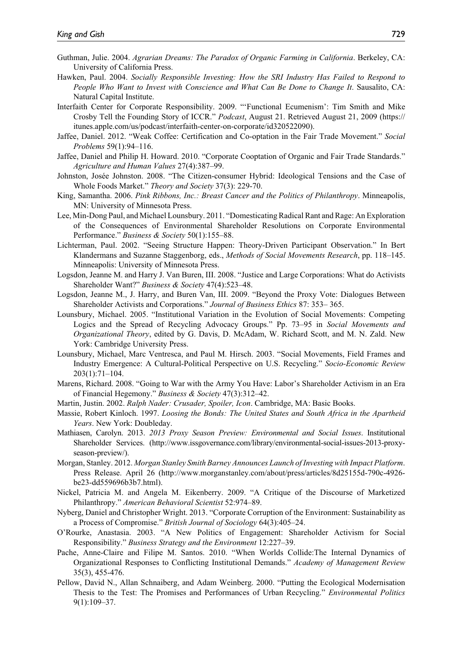- Guthman, Julie. 2004. *Agrarian Dreams: The Paradox of Organic Farming in California*. Berkeley, CA: University of California Press.
- Hawken, Paul. 2004. *Socially Responsible Investing: How the SRI Industry Has Failed to Respond to People Who Want to Invest with Conscience and What Can Be Done to Change It*. Sausalito, CA: Natural Capital Institute.
- Interfaith Center for Corporate Responsibility. 2009. "'Functional Ecumenism': Tim Smith and Mike Crosby Tell the Founding Story of ICCR." *Podcast*, August 21. Retrieved August 21, 2009 ([https://](https://itunes.apple.com/us/podcast/interfaith-center-on-corporate/id320522090) [itunes.apple.com/us/podcast/interfaith-center-on-corporate/id320522090\)](https://itunes.apple.com/us/podcast/interfaith-center-on-corporate/id320522090).
- Jaffee, Daniel. 2012. "Weak Coffee: Certification and Co-optation in the Fair Trade Movement." *Social Problems* 59(1):94–116.
- Jaffee, Daniel and Philip H. Howard. 2010. "Corporate Cooptation of Organic and Fair Trade Standards." *Agriculture and Human Values* 27(4):387–99.
- Johnston, Josée Johnston. 2008. "The Citizen-consumer Hybrid: Ideological Tensions and the Case of Whole Foods Market." *Theory and Society* 37(3): 229-70.
- King, Samantha. 2006. *Pink Ribbons, Inc.: Breast Cancer and the Politics of Philanthropy*. Minneapolis, MN: University of Minnesota Press.
- Lee, Min-Dong Paul, and Michael Lounsbury. 2011. "Domesticating Radical Rant and Rage: An Exploration of the Consequences of Environmental Shareholder Resolutions on Corporate Environmental Performance." *Business & Society* 50(1):155–88.
- Lichterman, Paul. 2002. "Seeing Structure Happen: Theory-Driven Participant Observation." In Bert Klandermans and Suzanne Staggenborg, eds., *Methods of Social Movements Research*, pp. 118–145. Minneapolis: University of Minnesota Press.
- Logsdon, Jeanne M. and Harry J. Van Buren, III. 2008. "Justice and Large Corporations: What do Activists Shareholder Want?" *Business & Society* 47(4):523–48.
- Logsdon, Jeanne M., J. Harry, and Buren Van, III. 2009. "Beyond the Proxy Vote: Dialogues Between Shareholder Activists and Corporations." *Journal of Business Ethics* 87: 353– 365.
- Lounsbury, Michael. 2005. "Institutional Variation in the Evolution of Social Movements: Competing Logics and the Spread of Recycling Advocacy Groups." Pp. 73–95 in *Social Movements and Organizational Theory*, edited by G. Davis, D. McAdam, W. Richard Scott, and M. N. Zald. New York: Cambridge University Press.
- Lounsbury, Michael, Marc Ventresca, and Paul M. Hirsch. 2003. "Social Movements, Field Frames and Industry Emergence: A Cultural-Political Perspective on U.S. Recycling." *Socio-Economic Review* 203(1):71–104.
- Marens, Richard. 2008. "Going to War with the Army You Have: Labor's Shareholder Activism in an Era of Financial Hegemony." *Business & Society* 47(3):312–42.
- Martin, Justin. 2002. *Ralph Nader: Crusader, Spoiler, Icon*. Cambridge, MA: Basic Books.
- Massie, Robert Kinloch. 1997. *Loosing the Bonds: The United States and South Africa in the Apartheid Years*. New York: Doubleday.
- Mathiasen, Carolyn. 2013. *2013 Proxy Season Preview: Environmental and Social Issues*. Institutional Shareholder Services. ([http://www.issgovernance.com/library/environmental-social-issues-2013-proxy](http://www.issgovernance.com/library/environmental-social-issues-2013-proxy-season-preview/)[season-preview/](http://www.issgovernance.com/library/environmental-social-issues-2013-proxy-season-preview/)).
- Morgan, Stanley. 2012. *Morgan Stanley Smith Barney Announces Launch of Investing with Impact Platform*. Press Release. April 26 [\(http://www.morganstanley.com/about/press/articles/8d25155d-790c-4926](http://www.morganstanley.com/about/press/articles/8d25155d-790c-4926-be23-dd559696b3b7.html) [be23-dd559696b3b7.html](http://www.morganstanley.com/about/press/articles/8d25155d-790c-4926-be23-dd559696b3b7.html)).
- Nickel, Patricia M. and Angela M. Eikenberry. 2009. "A Critique of the Discourse of Marketized Philanthropy." *American Behavioral Scientist* 52:974–89.
- Nyberg, Daniel and Christopher Wright. 2013. "Corporate Corruption of the Environment: Sustainability as a Process of Compromise." *British Journal of Sociology* 64(3):405–24.
- O'Rourke, Anastasia. 2003. "A New Politics of Engagement: Shareholder Activism for Social Responsibility." *Business Strategy and the Environment* 12:227–39.
- Pache, Anne-Claire and Filipe M. Santos. 2010. "When Worlds Collide:The Internal Dynamics of Organizational Responses to Conflicting Institutional Demands." *Academy of Management Review* 35(3), 455-476.
- Pellow, David N., Allan Schnaiberg, and Adam Weinberg. 2000. "Putting the Ecological Modernisation Thesis to the Test: The Promises and Performances of Urban Recycling." *Environmental Politics* 9(1):109–37.